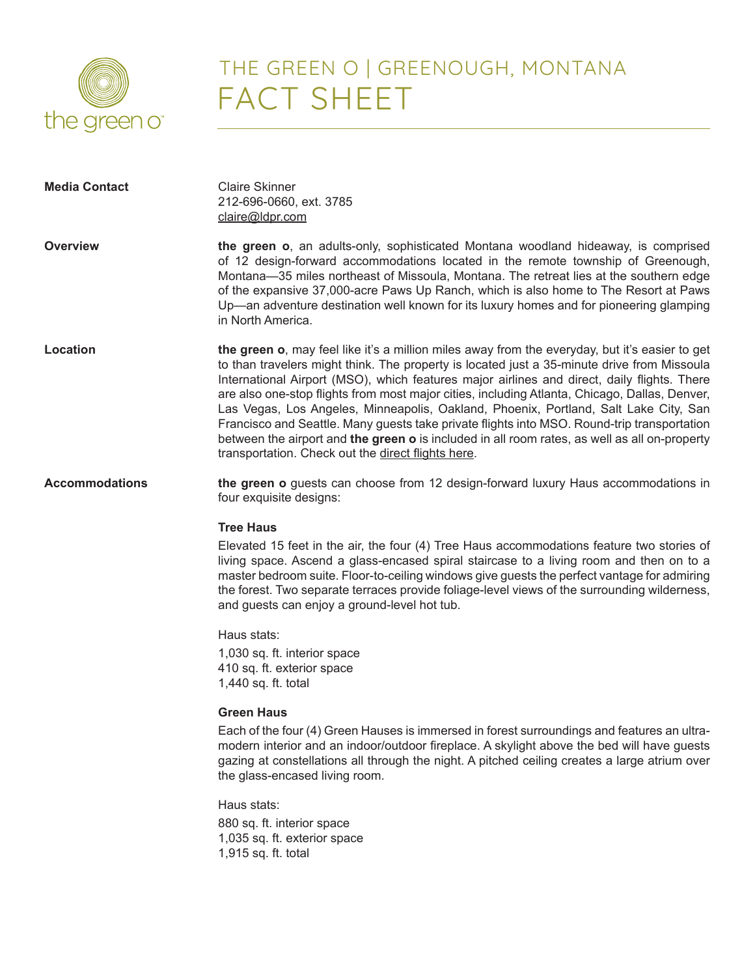

# THE GREEN O | GREENOUGH, MONTANA FACT SHEET

| <b>Media Contact</b>  | <b>Claire Skinner</b><br>212-696-0660, ext. 3785<br>claire@ldpr.com                                                                                                                                                                                                                                                                                                                                                                                                                                                                                                                                                                                                                                                                         |
|-----------------------|---------------------------------------------------------------------------------------------------------------------------------------------------------------------------------------------------------------------------------------------------------------------------------------------------------------------------------------------------------------------------------------------------------------------------------------------------------------------------------------------------------------------------------------------------------------------------------------------------------------------------------------------------------------------------------------------------------------------------------------------|
| <b>Overview</b>       | the green o, an adults-only, sophisticated Montana woodland hideaway, is comprised<br>of 12 design-forward accommodations located in the remote township of Greenough,<br>Montana-35 miles northeast of Missoula, Montana. The retreat lies at the southern edge<br>of the expansive 37,000-acre Paws Up Ranch, which is also home to The Resort at Paws<br>Up—an adventure destination well known for its luxury homes and for pioneering glamping<br>in North America.                                                                                                                                                                                                                                                                    |
| <b>Location</b>       | the green o, may feel like it's a million miles away from the everyday, but it's easier to get<br>to than travelers might think. The property is located just a 35-minute drive from Missoula<br>International Airport (MSO), which features major airlines and direct, daily flights. There<br>are also one-stop flights from most major cities, including Atlanta, Chicago, Dallas, Denver,<br>Las Vegas, Los Angeles, Minneapolis, Oakland, Phoenix, Portland, Salt Lake City, San<br>Francisco and Seattle. Many guests take private flights into MSO. Round-trip transportation<br>between the airport and the green o is included in all room rates, as well as all on-property<br>transportation. Check out the direct flights here. |
| <b>Accommodations</b> | the green o guests can choose from 12 design-forward luxury Haus accommodations in<br>four exquisite designs:                                                                                                                                                                                                                                                                                                                                                                                                                                                                                                                                                                                                                               |
|                       | <b>Tree Haus</b>                                                                                                                                                                                                                                                                                                                                                                                                                                                                                                                                                                                                                                                                                                                            |
|                       | Elevated 15 feet in the air, the four (4) Tree Haus accommodations feature two stories of<br>living space. Ascend a glass-encased spiral staircase to a living room and then on to a<br>master bedroom suite. Floor-to-ceiling windows give guests the perfect vantage for admiring<br>the forest. Two separate terraces provide foliage-level views of the surrounding wilderness,<br>and guests can enjoy a ground-level hot tub.                                                                                                                                                                                                                                                                                                         |
|                       | Haus stats:                                                                                                                                                                                                                                                                                                                                                                                                                                                                                                                                                                                                                                                                                                                                 |
|                       | 1,030 sq. ft. interior space<br>410 sq. ft. exterior space<br>1,440 sq. ft. total                                                                                                                                                                                                                                                                                                                                                                                                                                                                                                                                                                                                                                                           |
|                       | <b>Green Haus</b>                                                                                                                                                                                                                                                                                                                                                                                                                                                                                                                                                                                                                                                                                                                           |
|                       | Each of the four (4) Green Hauses is immersed in forest surroundings and features an ultra-<br>modern interior and an indoor/outdoor fireplace. A skylight above the bed will have guests<br>gazing at constellations all through the night. A pitched ceiling creates a large atrium over<br>the glass-encased living room.                                                                                                                                                                                                                                                                                                                                                                                                                |
|                       | Haus stats:                                                                                                                                                                                                                                                                                                                                                                                                                                                                                                                                                                                                                                                                                                                                 |
|                       | 880 sq. ft. interior space<br>1,035 sq. ft. exterior space<br>1,915 sq. ft. total                                                                                                                                                                                                                                                                                                                                                                                                                                                                                                                                                                                                                                                           |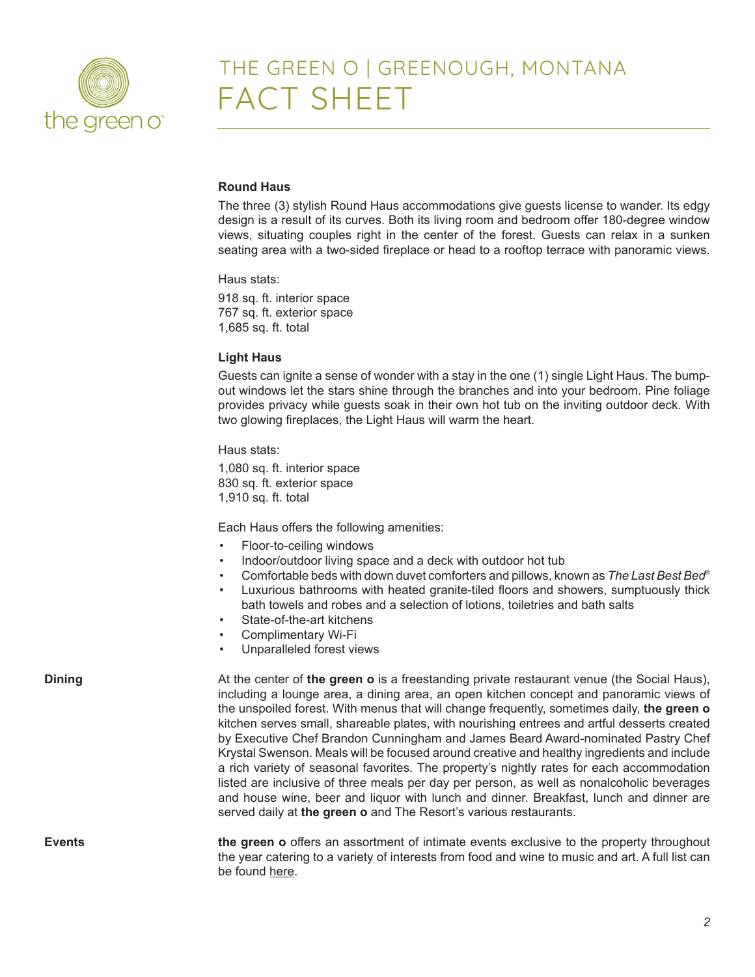

### THE GREEN O | GREENOUGH, MONTANA FACT SHEET

### **Round Haus**

The three (3) stylish Round Haus accommodations give guests license to wander. Its edgy design is a result of its curves. Both its living room and bedroom offer 180-degree window views, situating couples right in the center of the forest. Guests can relax in a sunken seating area with a two-sided fireplace or head to a rooftop terrace with panoramic views.

Haus stats:

918 sq. ft. interior space 767 sq. ft. exterior space 1,685 sq. ft. total

#### **Light Haus**

Guests can ignite a sense of wonder with a stay in the one (1) single Light Haus. The bumpout windows let the stars shine through the branches and into your bedroom. Pine foliage provides privacy while guests soak in their own hot tub on the inviting outdoor deck. With two glowing fireplaces, the Light Haus will warm the heart.

Haus stats:

1,080 sq. ft. interior space 830 sq. ft. exterior space 1,910 sq. ft. total

Each Haus offers the following amenities:

- Floor-to-ceiling windows
- Indoor/outdoor living space and a deck with outdoor hot tub
- Comfortable beds with down duvet comforters and pillows, known as *The Last Best Bed*®
- Luxurious bathrooms with heated granite-tiled floors and showers, sumptuously thick bath towels and robes and a selection of lotions, toiletries and bath salts
- State-of-the-art kitchens
- Complimentary Wi-Fi
- Unparalleled forest views

**Dining** and at the center of **the green o** is a freestanding private restaurant venue (the Social Haus), including a lounge area, a dining area, an open kitchen concept and panoramic views of the unspoiled forest. With menus that will change frequently, sometimes daily, **the green o** kitchen serves small, shareable plates, with nourishing entrees and artful desserts created by Executive Chef Brandon Cunningham and James Beard Award-nominated Pastry Chef Krystal Swenson. Meals will be focused around creative and healthy ingredients and include a rich variety of seasonal favorites. The property's nightly rates for each accommodation listed are inclusive of three meals per day per person, as well as nonalcoholic beverages and house wine, beer and liquor with lunch and dinner. Breakfast, lunch and dinner are served daily at **the green o** and The Resort's various restaurants.

**Events the green o** offers an assortment of intimate events exclusive to the property throughout the year catering to a variety of interests from food and wine to music and art. A full list can be found here.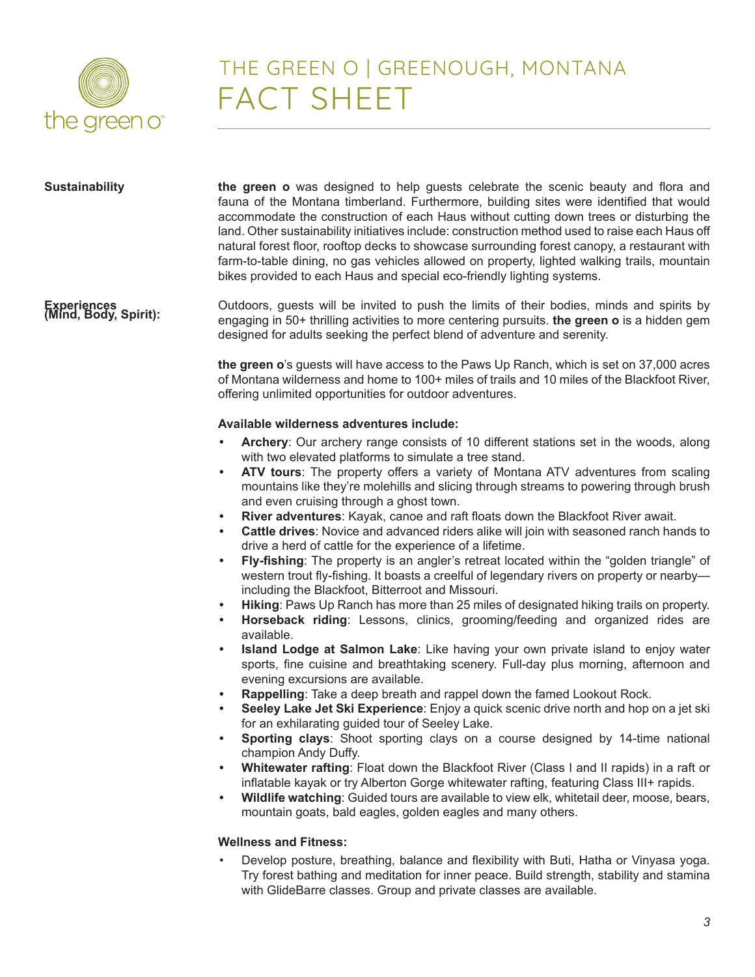

# THE GREEN O | GREENOUGH, MONTANA FACT SHEET

| <b>Sustainability</b>                | the green o was designed to help guests celebrate the scenic beauty and flora and<br>fauna of the Montana timberland. Furthermore, building sites were identified that would<br>accommodate the construction of each Haus without cutting down trees or disturbing the<br>land. Other sustainability initiatives include: construction method used to raise each Haus off<br>natural forest floor, rooftop decks to showcase surrounding forest canopy, a restaurant with<br>farm-to-table dining, no gas vehicles allowed on property, lighted walking trails, mountain<br>bikes provided to each Haus and special eco-friendly lighting systems. |
|--------------------------------------|----------------------------------------------------------------------------------------------------------------------------------------------------------------------------------------------------------------------------------------------------------------------------------------------------------------------------------------------------------------------------------------------------------------------------------------------------------------------------------------------------------------------------------------------------------------------------------------------------------------------------------------------------|
| Experiences<br>(Mind, Body, Spirit): | Outdoors, guests will be invited to push the limits of their bodies, minds and spirits by<br>engaging in 50+ thrilling activities to more centering pursuits. the green o is a hidden gem<br>designed for adults seeking the perfect blend of adventure and serenity.                                                                                                                                                                                                                                                                                                                                                                              |
|                                      | the green o's guests will have access to the Paws Up Ranch, which is set on 37,000 acres<br>of Montana wilderness and home to 100+ miles of trails and 10 miles of the Blackfoot River,<br>offering unlimited opportunities for outdoor adventures.                                                                                                                                                                                                                                                                                                                                                                                                |
|                                      | Available wilderness adventures include:                                                                                                                                                                                                                                                                                                                                                                                                                                                                                                                                                                                                           |
|                                      | Archery: Our archery range consists of 10 different stations set in the woods, along<br>with two elevated platforms to simulate a tree stand.                                                                                                                                                                                                                                                                                                                                                                                                                                                                                                      |
|                                      | ATV tours: The property offers a variety of Montana ATV adventures from scaling<br>$\bullet$<br>mountains like they're molehills and slicing through streams to powering through brush<br>and even cruising through a ghost town.<br>River adventures: Kayak, canoe and raft floats down the Blackfoot River await.<br>$\bullet$<br>Cattle drives: Novice and advanced riders alike will join with seasoned ranch hands to<br>$\bullet$                                                                                                                                                                                                            |
|                                      | drive a herd of cattle for the experience of a lifetime.<br>Fly-fishing: The property is an angler's retreat located within the "golden triangle" of<br>$\bullet$<br>western trout fly-fishing. It boasts a creelful of legendary rivers on property or nearby-<br>including the Blackfoot, Bitterroot and Missouri.                                                                                                                                                                                                                                                                                                                               |
|                                      | Hiking: Paws Up Ranch has more than 25 miles of designated hiking trails on property.<br>$\bullet$<br>Horseback riding: Lessons, clinics, grooming/feeding and organized rides are<br>$\bullet$<br>available.                                                                                                                                                                                                                                                                                                                                                                                                                                      |
|                                      | Island Lodge at Salmon Lake: Like having your own private island to enjoy water<br>$\bullet$<br>sports, fine cuisine and breathtaking scenery. Full-day plus morning, afternoon and<br>evening excursions are available.                                                                                                                                                                                                                                                                                                                                                                                                                           |
|                                      | Rappelling: Take a deep breath and rappel down the famed Lookout Rock.<br>$\bullet$                                                                                                                                                                                                                                                                                                                                                                                                                                                                                                                                                                |
|                                      | Seeley Lake Jet Ski Experience: Enjoy a quick scenic drive north and hop on a jet ski<br>for an exhilarating guided tour of Seeley Lake.                                                                                                                                                                                                                                                                                                                                                                                                                                                                                                           |
|                                      | Sporting clays: Shoot sporting clays on a course designed by 14-time national                                                                                                                                                                                                                                                                                                                                                                                                                                                                                                                                                                      |
|                                      | champion Andy Duffy.                                                                                                                                                                                                                                                                                                                                                                                                                                                                                                                                                                                                                               |
|                                      | Whitewater rafting: Float down the Blackfoot River (Class I and II rapids) in a raft or<br>٠<br>inflatable kayak or try Alberton Gorge whitewater rafting, featuring Class III+ rapids.                                                                                                                                                                                                                                                                                                                                                                                                                                                            |
|                                      | Wildlife watching: Guided tours are available to view elk, whitetail deer, moose, bears,<br>٠<br>mountain goats, bald eagles, golden eagles and many others.                                                                                                                                                                                                                                                                                                                                                                                                                                                                                       |
|                                      | <b>Wellness and Fitness:</b>                                                                                                                                                                                                                                                                                                                                                                                                                                                                                                                                                                                                                       |
|                                      | Develop posture, breathing, balance and flexibility with Buti, Hatha or Vinyasa yoga.                                                                                                                                                                                                                                                                                                                                                                                                                                                                                                                                                              |
|                                      | Tru forcet bething and moditation for inner nooce. Duild etrength, stability and eterning                                                                                                                                                                                                                                                                                                                                                                                                                                                                                                                                                          |